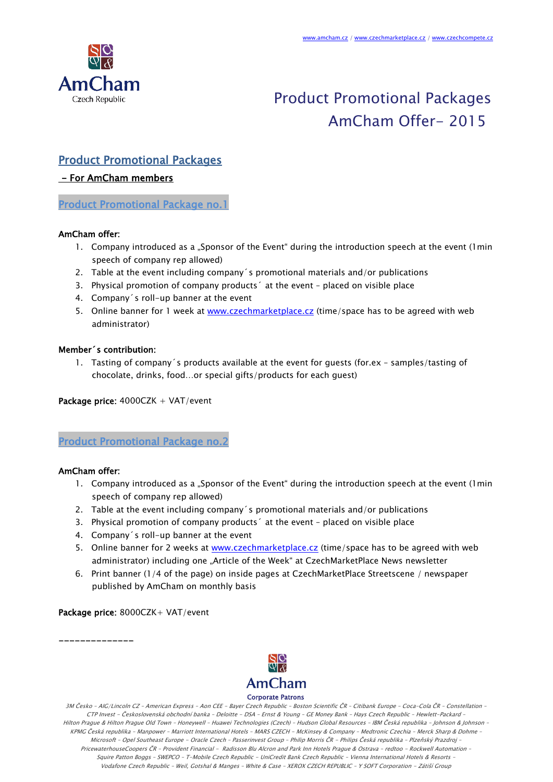

# Product Promotional Packages AmCham Offer- 2015

### Product Promotional Packages

### - For AmCham members

Product Promotional Package no.1

#### AmCham offer:

- 1. Company introduced as a "Sponsor of the Event" during the introduction speech at the event (1min speech of company rep allowed)
- 2. Table at the event including company´s promotional materials and/or publications
- 3. Physical promotion of company products´ at the event placed on visible place
- 4. Company´s roll-up banner at the event
- 5. Online banner for 1 week at [www.czechmarketplace.cz](http://www.czechmarketplace.cz/) (time/space has to be agreed with web administrator)

#### Member´s contribution:

1. Tasting of company´s products available at the event for guests (for.ex – samples/tasting of chocolate, drinks, food…or special gifts/products for each guest)

Package price: 4000CZK + VAT/event

Product Promotional Package no.2

#### AmCham offer:

- 1. Company introduced as a "Sponsor of the Event" during the introduction speech at the event (1 min speech of company rep allowed)
- 2. Table at the event including company´s promotional materials and/or publications
- 3. Physical promotion of company products´ at the event placed on visible place
- 4. Company´s roll-up banner at the event
- 5. Online banner for 2 weeks at [www.czechmarketplace.cz](http://www.czechmarketplace.cz/) (time/space has to be agreed with web administrator) including one "Article of the Week" at CzechMarketPlace News newsletter
- 6. Print banner (1/4 of the page) on inside pages at CzechMarketPlace Streetscene / newspaper published by AmCham on monthly basis

#### Package price: 8000CZK+ VAT/event

--------------



3M Česko – AIG/Lincoln CZ – American Express – Aon CEE - Bayer Czech Republic – Boston Scientific ČR – Citibank Europe – Coca-Cola ČR – Constellation – CTP Invest - Československá obchodní banka – Deloitte - DSA – Ernst & Young – GE Money Bank – Hays Czech Republic – Hewlett-Packard – Hilton Prague & Hilton Prague Old Town – Honeywell – Huawei Technologies (Czech) – Hudson Global Resources – IBM Česká republika – Johnson & Johnson – KPMG Česká republika – Manpower – Marriott International Hotels – MARS CZECH - McKinsey & Company – Medtronic Czechia – Merck Sharp & Dohme – Microsoft – Opel Southeast Europe - Oracle Czech – Passerinvest Group – Philip Morris ČR - Philips Česká republika – Plzeňský Prazdroj – PricewaterhouseCoopers ČR – Provident Financial - Radisson Blu Alcron and Park Inn Hotels Prague & Ostrava – redtoo - Rockwell Automation – Squire Patton Boggs – SWEPCO – T-Mobile Czech Republic - UniCredit Bank Czech Republic – Vienna International Hotels & Resorts – Vodafone Czech Republic – Weil, Gotshal & Manges – White & Case – XEROX CZECH REPUBLIC – Y SOFT Corporation - Zátiší Group